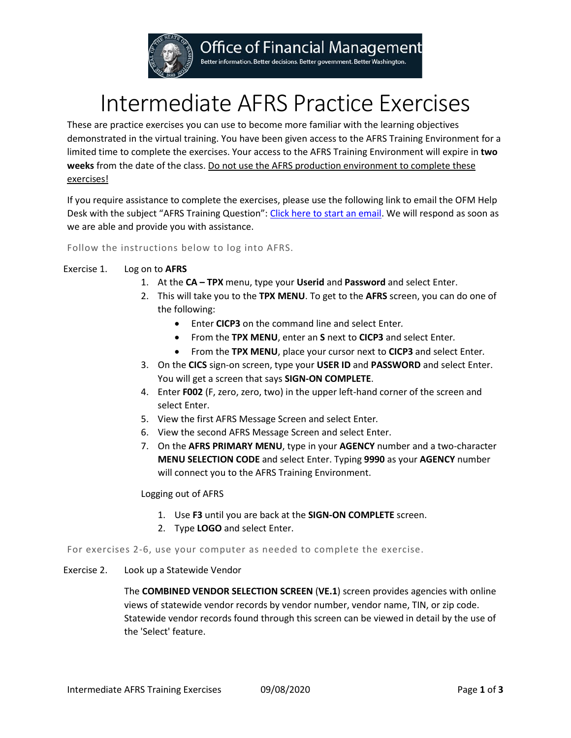

# **Office of Financial Management**

Better information. Better decisions. Better government. Better Washington.

# Intermediate AFRS Practice Exercises

These are practice exercises you can use to become more familiar with the learning objectives demonstrated in the virtual training. You have been given access to the AFRS Training Environment for a limited time to complete the exercises. Your access to the AFRS Training Environment will expire in **two weeks** from the date of the class. Do not use the AFRS production environment to complete these exercises!

If you require assistance to complete the exercises, please use the following link to email the OFM Help Desk with the subject "AFRS Training Question"[: Click here to start an email.](mailto:HeretoHelp@ofm.wa.gov?subject=AFRS%20Training%20Question) We will respond as soon as we are able and provide you with assistance.

Follow the instructions below to log into AFRS.

## Exercise 1. Log on to **AFRS**

- 1. At the **CA – TPX** menu, type your **Userid** and **Password** and select Enter.
- 2. This will take you to the **TPX MENU**. To get to the **AFRS** screen, you can do one of the following:
	- Enter **CICP3** on the command line and select Enter*.*
	- From the **TPX MENU**, enter an **S** next to **CICP3** and select Enter*.*
	- From the **TPX MENU**, place your cursor next to **CICP3** and select Enter*.*
- 3. On the **CICS** sign-on screen, type your **USER ID** and **PASSWORD** and select Enter. You will get a screen that says **SIGN-ON COMPLETE**.
- 4. Enter **F002** (F, zero, zero, two) in the upper left-hand corner of the screen and select Enter.
- 5. View the first AFRS Message Screen and select Enter*.*
- 6. View the second AFRS Message Screen and select Enter.
- 7. On the **AFRS PRIMARY MENU**, type in your **AGENCY** number and a two-character **MENU SELECTION CODE** and select Enter. Typing **9990** as your **AGENCY** number will connect you to the AFRS Training Environment.

#### Logging out of AFRS

- 1. Use **F3** until you are back at the **SIGN-ON COMPLETE** screen.
- 2. Type **LOGO** and select Enter.

For exercises 2-6, use your computer as needed to complete the exercise.

#### Exercise 2. Look up a Statewide Vendor

The **COMBINED VENDOR SELECTION SCREEN** (**VE.1**) screen provides agencies with online views of statewide vendor records by vendor number, vendor name, TIN, or zip code. Statewide vendor records found through this screen can be viewed in detail by the use of the 'Select' feature.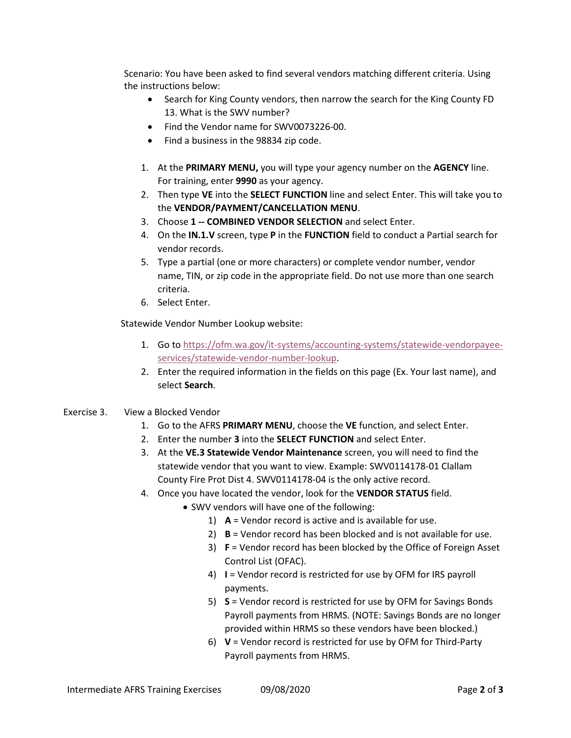Scenario: You have been asked to find several vendors matching different criteria. Using the instructions below:

- Search for King County vendors, then narrow the search for the King County FD 13. What is the SWV number?
- Find the Vendor name for SWV0073226-00.
- Find a business in the 98834 zip code.
- 1. At the **PRIMARY MENU,** you will type your agency number on the **AGENCY** line. For training, enter **9990** as your agency.
- 2. Then type **VE** into the **SELECT FUNCTION** line and select Enter. This will take you to the **VENDOR/PAYMENT/CANCELLATION MENU**.
- 3. Choose **1 -- COMBINED VENDOR SELECTION** and select Enter.
- 4. On the **IN.1.V** screen, type **P** in the **FUNCTION** field to conduct a Partial search for vendor records.
- 5. Type a partial (one or more characters) or complete vendor number, vendor name, TIN, or zip code in the appropriate field. Do not use more than one search criteria.
- 6. Select Enter.

Statewide Vendor Number Lookup website:

- 1. Go to [https://ofm.wa.gov/it-systems/accounting-systems/statewide-vendorpayee](https://ofm.wa.gov/it-systems/accounting-systems/statewide-vendorpayee-services/statewide-vendor-number-lookup)[services/statewide-vendor-number-lookup.](https://ofm.wa.gov/it-systems/accounting-systems/statewide-vendorpayee-services/statewide-vendor-number-lookup)
- 2. Enter the required information in the fields on this page (Ex. Your last name), and select **Search**.

#### Exercise 3. View a Blocked Vendor

- 1. Go to the AFRS **PRIMARY MENU**, choose the **VE** function, and select Enter.
- 2. Enter the number **3** into the **SELECT FUNCTION** and select Enter.
- 3. At the **VE.3 Statewide Vendor Maintenance** screen, you will need to find the statewide vendor that you want to view. Example: SWV0114178-01 Clallam County Fire Prot Dist 4. SWV0114178-04 is the only active record.
- 4. Once you have located the vendor, look for the **VENDOR STATUS** field.
	- SWV vendors will have one of the following:
		- 1) **A** = Vendor record is active and is available for use.
		- 2) **B** = Vendor record has been blocked and is not available for use.
		- 3) **F** = Vendor record has been blocked by the Office of Foreign Asset Control List (OFAC).
		- 4) **I** = Vendor record is restricted for use by OFM for IRS payroll payments.
		- 5) **S** = Vendor record is restricted for use by OFM for Savings Bonds Payroll payments from HRMS. (NOTE: Savings Bonds are no longer provided within HRMS so these vendors have been blocked.)
		- 6) **V** = Vendor record is restricted for use by OFM for Third-Party Payroll payments from HRMS.